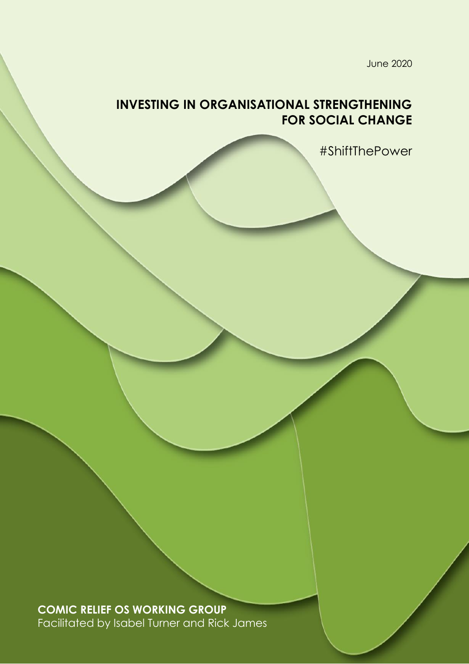June 2020

# **INVESTING IN ORGANISATIONAL STRENGTHENING FOR SOCIAL CHANGE**

#ShiftThePower

**COMIC RELIEF OS WORKING GROUP** Facilitated by Isabel Turner and Rick James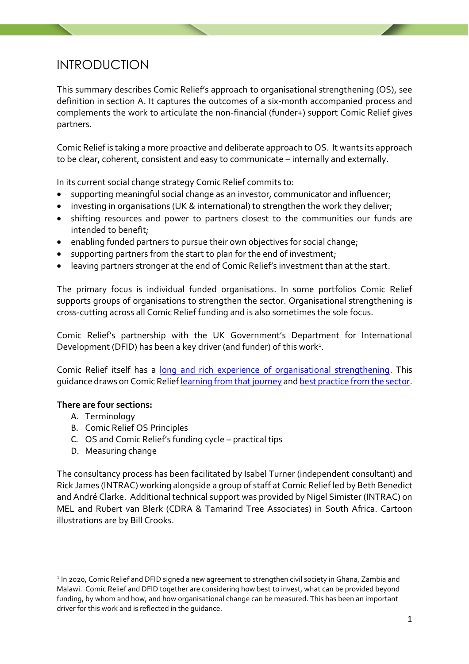## INTRODUCTION

This summary describes Comic Relief's approach to organisational strengthening (OS), see definition in section A. It captures the outcomes of a six-month accompanied process and complements the work to articulate the non-financial (funder+) support Comic Relief gives partners.

Comic Relief is taking a more proactive and deliberate approach to OS. It wants its approach to be clear, coherent, consistent and easy to communicate – internally and externally.

In its current social change strategy Comic Relief commits to:

- supporting meaningful social change as an investor, communicator and influencer;
- investing in organisations (UK & international) to strengthen the work they deliver;
- shifting resources and power to partners closest to the communities our funds are intended to benefit;
- enabling funded partners to pursue their own objectives for social change;
- supporting partners from the start to plan for the end of investment;
- leaving partners stronger at the end of Comic Relief's investment than at the start.

The primary focus is individual funded organisations. In some portfolios Comic Relief supports groups of organisations to strengthen the sector. Organisational strengthening is cross-cutting across all Comic Relief funding and is also sometimes the sole focus.

Comic Relief's partnership with the UK Government's Department for International Development (DFID) has been a key driver (and funder) of this work<sup>1</sup>.

Comic Relief itself has a [long and rich experience of organisational strengthening.](https://comicrelief.app.box.com/file/676539955437) This guidance draws on Comic Relie[f learning from that journey](https://comicrelief.app.box.com/file/676548236863) an[d best practice from the sector.](https://comicrelief.app.box.com/file/676552674604)

#### **There are four sections:**

- A. Terminology
- B. Comic Relief OS Principles
- C. OS and Comic Relief's funding cycle practical tips
- D. Measuring change

The consultancy process has been facilitated by Isabel Turner (independent consultant) and Rick James (INTRAC) working alongside a group of staff at Comic Relief led by Beth Benedict and André Clarke. Additional technical support was provided by Nigel Simister (INTRAC) on MEL and Rubert van Blerk (CDRA & Tamarind Tree Associates) in South Africa. Cartoon illustrations are by Bill Crooks.

 $^{\rm 1}$  In 2020, Comic Relief and DFID signed a new agreement to strengthen civil society in Ghana, Zambia and Malawi. Comic Relief and DFID together are considering how best to invest, what can be provided beyond funding, by whom and how, and how organisational change can be measured. This has been an important driver for this work and is reflected in the guidance.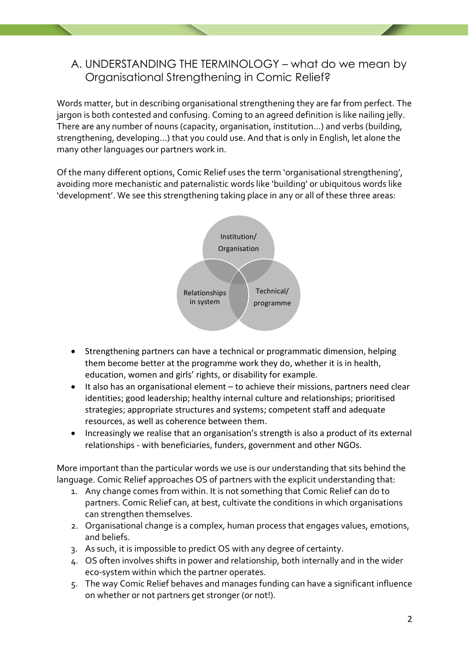## A. UNDERSTANDING THE TERMINOLOGY – what do we mean by Organisational Strengthening in Comic Relief?

Words matter, but in describing organisational strengthening they are far from perfect. The jargon is both contested and confusing. Coming to an agreed definition is like nailing jelly. There are any number of nouns (capacity, organisation, institution…) and verbs (building, strengthening, developing…) that you could use. And that is only in English, let alone the many other languages our partners work in.

Of the many different options, Comic Relief uses the term 'organisational strengthening', avoiding more mechanistic and paternalistic words like 'building' or ubiquitous words like 'development'. We see this strengthening taking place in any or all of these three areas:



- Strengthening partners can have a technical or programmatic dimension, helping them become better at the programme work they do, whether it is in health, education, women and girls' rights, or disability for example.
- It also has an organisational element to achieve their missions, partners need clear identities; good leadership; healthy internal culture and relationships; prioritised strategies; appropriate structures and systems; competent staff and adequate resources, as well as coherence between them.
- Increasingly we realise that an organisation's strength is also a product of its external relationships - with beneficiaries, funders, government and other NGOs.

More important than the particular words we use is our understanding that sits behind the language. Comic Relief approaches OS of partners with the explicit understanding that:

- 1. Any change comes from within. It is not something that Comic Relief can do to partners. Comic Relief can, at best, cultivate the conditions in which organisations can strengthen themselves.
- 2. Organisational change is a complex, human process that engages values, emotions, and beliefs.
- 3. As such, it is impossible to predict OS with any degree of certainty.
- 4. OS often involves shifts in power and relationship, both internally and in the wider eco-system within which the partner operates.
- 5. The way Comic Relief behaves and manages funding can have a significant influence on whether or not partners get stronger (or not!).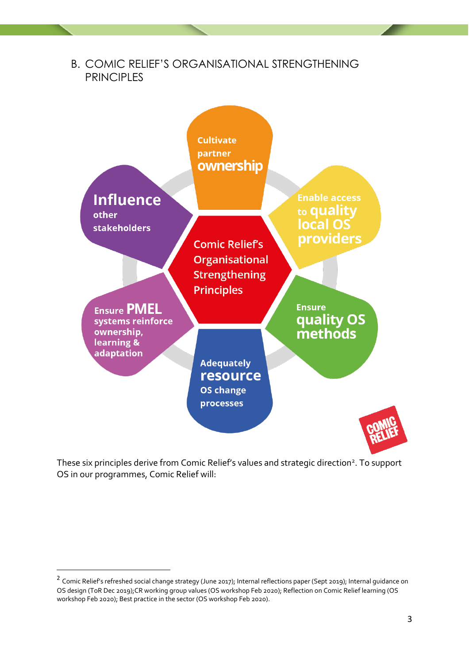

These six principles derive from Comic Relief's values and strategic direction<sup>2</sup>. To support OS in our programmes, Comic Relief will:

<sup>&</sup>lt;sup>2</sup> Comic Relief's refreshed social change strategy (June 2017); Internal reflections paper (Sept 2019); Internal guidance on OS design (ToR Dec 2019);CR working group values (OS workshop Feb 2020); Reflection on Comic Relief learning (OS workshop Feb 2020); Best practice in the sector (OS workshop Feb 2020).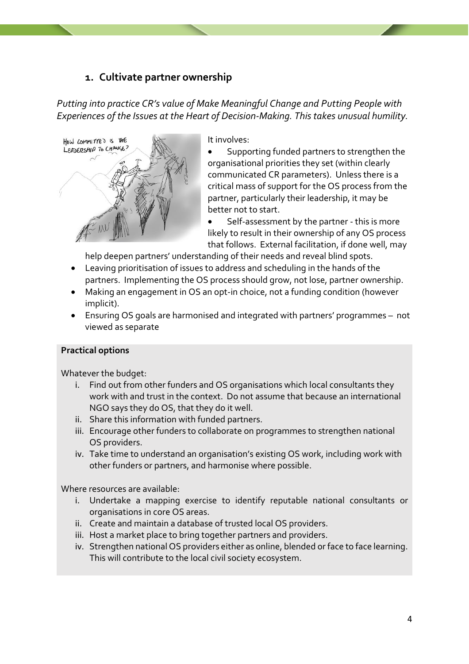## **1. Cultivate partner ownership**

*Putting into practice CR's value of Make Meaningful Change and Putting People with Experiences of the Issues at the Heart of Decision-Making. This takes unusual humility.*



It involves:

• Supporting funded partners to strengthen the organisational priorities they set (within clearly communicated CR parameters). Unless there is a critical mass of support for the OS process from the partner, particularly their leadership, it may be better not to start.

Self-assessment by the partner - this is more likely to result in their ownership of any OS process that follows. External facilitation, if done well, may

help deepen partners' understanding of their needs and reveal blind spots.

- Leaving prioritisation of issues to address and scheduling in the hands of the partners. Implementing the OS process should grow, not lose, partner ownership.
- Making an engagement in OS an opt-in choice, not a funding condition (however implicit).
- Ensuring OS goals are harmonised and integrated with partners' programmes not viewed as separate

#### **Practical options**

Whatever the budget:

- i. Find out from other funders and OS organisations which local consultants they work with and trust in the context. Do not assume that because an international NGO says they do OS, that they do it well.
- ii. Share this information with funded partners.
- iii. Encourage other funders to collaborate on programmes to strengthen national OS providers.
- iv. Take time to understand an organisation's existing OS work, including work with other funders or partners, and harmonise where possible.

- i. Undertake a mapping exercise to identify reputable national consultants or organisations in core OS areas.
- ii. Create and maintain a database of trusted local OS providers.
- iii. Host a market place to bring together partners and providers.
- iv. Strengthen national OS providers either as online, blended or face to face learning. This will contribute to the local civil society ecosystem.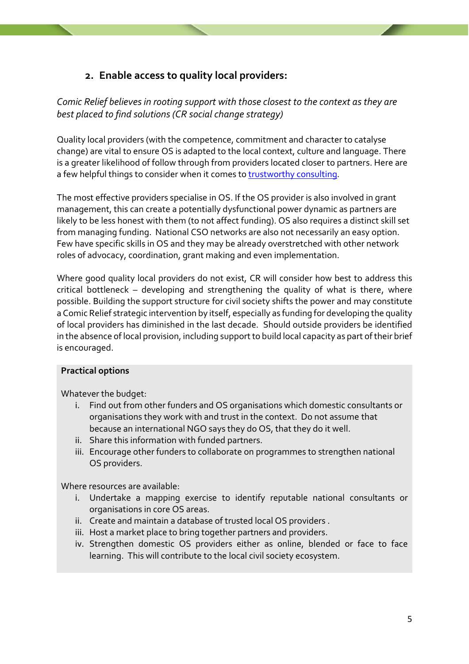## **2. Enable access to quality local providers:**

*Comic Relief believes in rooting support with those closest to the context as they are best placed to find solutions (CR social change strategy)*

Quality local providers (with the competence, commitment and character to catalyse change) are vital to ensure OS is adapted to the local context, culture and language. There is a greater likelihood of follow through from providers located closer to partners. Here are a few helpful things to consider when it comes to [trustworthy consulting.](https://comicrelief.app.box.com/file/676552761433)

The most effective providers specialise in OS. If the OS provider is also involved in grant management, this can create a potentially dysfunctional power dynamic as partners are likely to be less honest with them (to not affect funding). OS also requires a distinct skill set from managing funding. National CSO networks are also not necessarily an easy option. Few have specific skills in OS and they may be already overstretched with other network roles of advocacy, coordination, grant making and even implementation.

Where good quality local providers do not exist, CR will consider how best to address this critical bottleneck – developing and strengthening the quality of what is there, where possible. Building the support structure for civil society shifts the power and may constitute a Comic Relief strategic intervention by itself, especially as funding for developing the quality of local providers has diminished in the last decade. Should outside providers be identified in the absence of local provision, including support to build local capacity as part of their brief is encouraged.

#### **Practical options**

Whatever the budget:

- i. Find out from other funders and OS organisations which domestic consultants or organisations they work with and trust in the context. Do not assume that because an international NGO says they do OS, that they do it well.
- ii. Share this information with funded partners.
- iii. Encourage other funders to collaborate on programmes to strengthen national OS providers.

- i. Undertake a mapping exercise to identify reputable national consultants or organisations in core OS areas.
- ii. Create and maintain a database of trusted local OS providers .
- iii. Host a market place to bring together partners and providers.
- iv. Strengthen domestic OS providers either as online, blended or face to face learning. This will contribute to the local civil society ecosystem.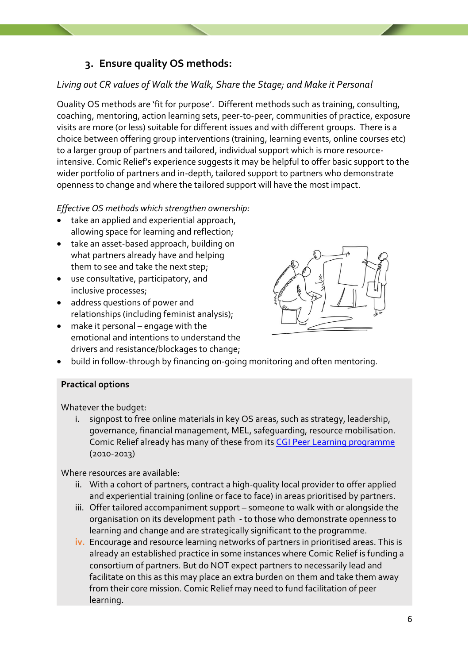## **3. Ensure quality OS methods:**

#### *Living out CR values of Walk the Walk, Share the Stage; and Make it Personal*

Quality OS methods are 'fit for purpose'. Different methods such as training, consulting, coaching, mentoring, action learning sets, peer-to-peer, communities of practice, exposure visits are more (or less) suitable for different issues and with different groups. There is a choice between offering group interventions (training, learning events, online courses etc) to a larger group of partners and tailored, individual support which is more resourceintensive. Comic Relief's experience suggests it may be helpful to offer basic support to the wider portfolio of partners and in-depth, tailored support to partners who demonstrate openness to change and where the tailored support will have the most impact.

#### *Effective OS methods which strengthen ownership:*

- take an applied and experiential approach, allowing space for learning and reflection;
- take an asset-based approach, building on what partners already have and helping them to see and take the next step;
- use consultative, participatory, and inclusive processes;
- address questions of power and relationships (including feminist analysis);
- make it personal engage with the emotional and intentions to understand the drivers and resistance/blockages to change;



• build in follow-through by financing on-going monitoring and often mentoring.

#### **Practical options**

Whatever the budget:

i. signpost to free online materials in key OS areas, such as strategy, leadership, governance, financial management, MEL, safeguarding, resource mobilisation. Comic Relief already has many of these from its [CGI Peer Learning programme](https://www.intrac.org/projects/peer-learning-programme/) (2010-2013)

- ii. With a cohort of partners, contract a high-quality local provider to offer applied and experiential training (online or face to face) in areas prioritised by partners.
- iii. Offer tailored accompaniment support someone to walk with or alongside the organisation on its development path - to those who demonstrate openness to learning and change and are strategically significant to the programme.
- **iv.** Encourage and resource learning networks of partners in prioritised areas. This is already an established practice in some instances where Comic Relief is funding a consortium of partners. But do NOT expect partners to necessarily lead and facilitate on this as this may place an extra burden on them and take them away from their core mission. Comic Relief may need to fund facilitation of peer learning.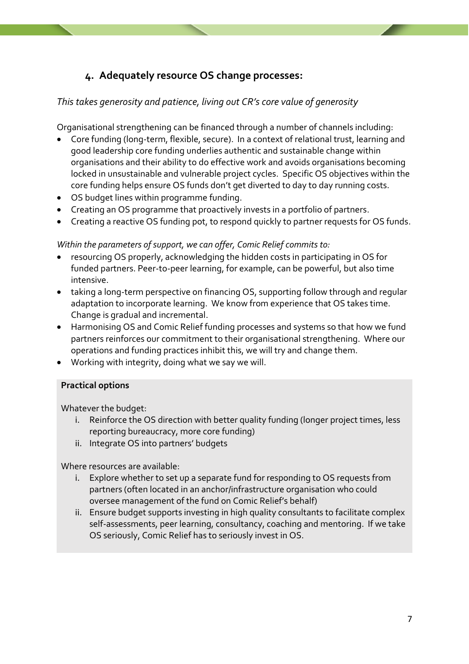## **4. Adequately resource OS change processes:**

#### *This takes generosity and patience, living out CR's core value of generosity*

Organisational strengthening can be financed through a number of channels including:

- Core funding (long-term, flexible, secure). In a context of relational trust, learning and good leadership core funding underlies authentic and sustainable change within organisations and their ability to do effective work and avoids organisations becoming locked in unsustainable and vulnerable project cycles. Specific OS objectives within the core funding helps ensure OS funds don't get diverted to day to day running costs.
- OS budget lines within programme funding.
- Creating an OS programme that proactively invests in a portfolio of partners.
- Creating a reactive OS funding pot, to respond quickly to partner requests for OS funds.

#### *Within the parameters of support, we can offer, Comic Relief commits to:*

- resourcing OS properly, acknowledging the hidden costs in participating in OS for funded partners. Peer-to-peer learning, for example, can be powerful, but also time intensive.
- taking a long-term perspective on financing OS, supporting follow through and regular adaptation to incorporate learning. We know from experience that OS takes time. Change is gradual and incremental.
- Harmonising OS and Comic Relief funding processes and systems so that how we fund partners reinforces our commitment to their organisational strengthening. Where our operations and funding practices inhibit this, we will try and change them.
- Working with integrity, doing what we say we will.

#### **Practical options**

Whatever the budget:

- i. Reinforce the OS direction with better quality funding (longer project times, less reporting bureaucracy, more core funding)
- ii. Integrate OS into partners' budgets

- i. Explore whether to set up a separate fund for responding to OS requests from partners (often located in an anchor/infrastructure organisation who could oversee management of the fund on Comic Relief's behalf)
- ii. Ensure budget supports investing in high quality consultants to facilitate complex self-assessments, peer learning, consultancy, coaching and mentoring. If we take OS seriously, Comic Relief has to seriously invest in OS.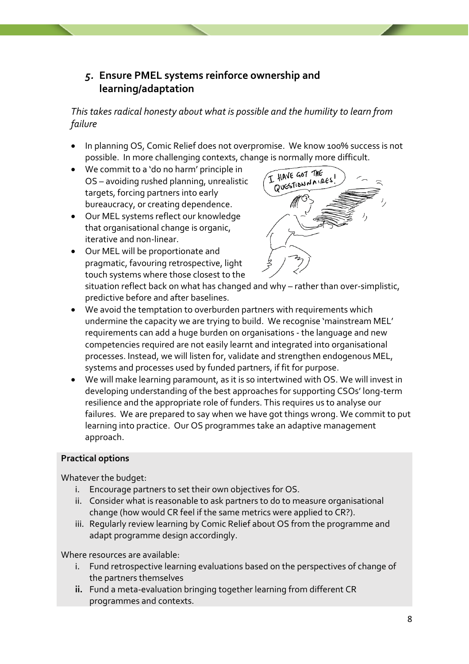## *5.* **Ensure PMEL systems reinforce ownership and learning/adaptation**

*This takes radical honesty about what is possible and the humility to learn from failure*

- In planning OS, Comic Relief does not overpromise. We know 100% success is not possible. In more challenging contexts, change is normally more difficult.
- We commit to a 'do no harm' principle in OS – avoiding rushed planning, unrealistic targets, forcing partners into early bureaucracy, or creating dependence.
- Our MEL systems reflect our knowledge that organisational change is organic, iterative and non-linear.
- Our MEL will be proportionate and pragmatic, favouring retrospective, light touch systems where those closest to the



situation reflect back on what has changed and why – rather than over-simplistic, predictive before and after baselines.

- We avoid the temptation to overburden partners with requirements which undermine the capacity we are trying to build. We recognise 'mainstream MEL' requirements can add a huge burden on organisations - the language and new competencies required are not easily learnt and integrated into organisational processes. Instead, we will listen for, validate and strengthen endogenous MEL, systems and processes used by funded partners, if fit for purpose.
- We will make learning paramount, as it is so intertwined with OS. We will invest in developing understanding of the best approaches for supporting CSOs' long-term resilience and the appropriate role of funders. This requires us to analyse our failures. We are prepared to say when we have got things wrong. We commit to put learning into practice. Our OS programmes take an adaptive management approach.

#### **Practical options**

Whatever the budget:

- i. Encourage partners to set their own objectives for OS.
- ii. Consider what is reasonable to ask partners to do to measure organisational change (how would CR feel if the same metrics were applied to CR?).
- iii. Regularly review learning by Comic Relief about OS from the programme and adapt programme design accordingly.

- i. Fund retrospective learning evaluations based on the perspectives of change of the partners themselves
- **ii.** Fund a meta-evaluation bringing together learning from different CR programmes and contexts.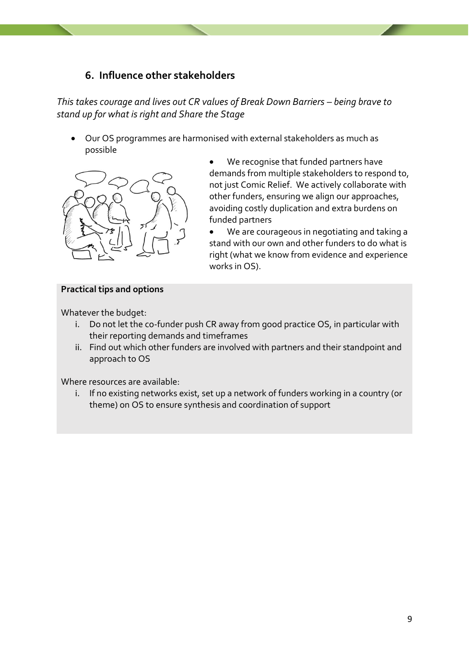### **6. Influence other stakeholders**

*This takes courage and lives out CR values of Break Down Barriers – being brave to stand up for what is right and Share the Stage*

• Our OS programmes are harmonised with external stakeholders as much as possible



- We recognise that funded partners have demands from multiple stakeholders to respond to, not just Comic Relief. We actively collaborate with other funders, ensuring we align our approaches, avoiding costly duplication and extra burdens on funded partners
- We are courageous in negotiating and taking a stand with our own and other funders to do what is right (what we know from evidence and experience works in OS).

#### **Practical tips and options**

Whatever the budget:

- i. Do not let the co-funder push CR away from good practice OS, in particular with their reporting demands and timeframes
- ii. Find out which other funders are involved with partners and their standpoint and approach to OS

Where resources are available:

i. If no existing networks exist, set up a network of funders working in a country (or theme) on OS to ensure synthesis and coordination of support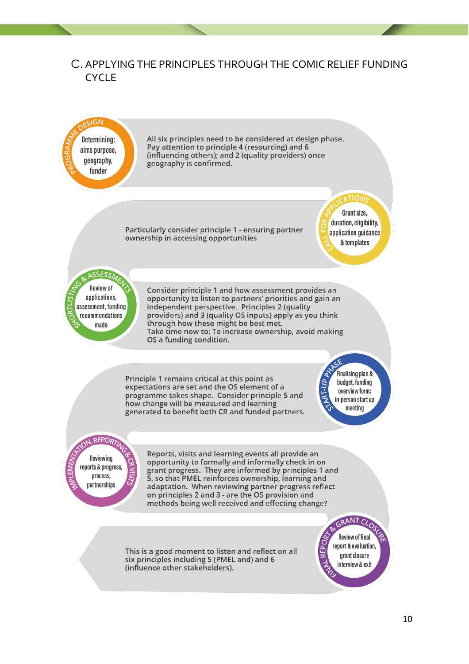### C. APPLYING THE PRINCIPLES THROUGH THE COMIC RELIEF FUNDING **CYCLE**

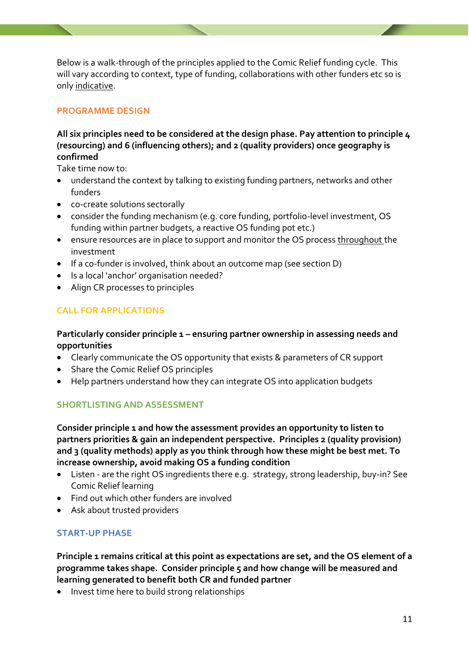Below is a walk-through of the principles applied to the Comic Relief funding cycle. This will vary according to context, type of funding, collaborations with other funders etc so is only indicative.

#### **PROGRAMME DESIGN**

#### **All six principles need to be considered at the design phase. Pay attention to principle 4 (resourcing) and 6 (influencing others); and 2 (quality providers) once geography is confirmed**

Take time now to:

- understand the context by talking to existing funding partners, networks and other funders
- co-create solutions sectorally
- consider the funding mechanism (e.g. core funding, portfolio-level investment, OS funding within partner budgets, a reactive OS funding pot etc.)
- ensure resources are in place to support and monitor the OS process throughout the investment
- If a co-funder is involved, think about an outcome map (see section D)
- Is a local 'anchor' organisation needed?
- Align CR processes to principles

#### **CALL FOR APPLICATIONS**

#### **Particularly consider principle 1 – ensuring partner ownership in assessing needs and opportunities**

- Clearly communicate the OS opportunity that exists & parameters of CR support
- Share the Comic Relief OS principles
- Help partners understand how they can integrate OS into application budgets

#### **SHORTLISTING AND ASSESSMENT**

**Consider principle 1 and how the assessment provides an opportunity to listen to partners priorities & gain an independent perspective. Principles 2 (quality provision) and 3 (quality methods) apply as you think through how these might be best met. To increase ownership, avoid making OS a funding condition**

- Listen are the right OS ingredients there e.g. strategy, strong leadership, buy-in? See Comic Relief learning
- Find out which other funders are involved
- Ask about trusted providers

#### **START-UP PHASE**

**Principle 1 remains critical at this point as expectations are set, and the OS element of a programme takes shape. Consider principle 5 and how change will be measured and learning generated to benefit both CR and funded partner**

• Invest time here to build strong relationships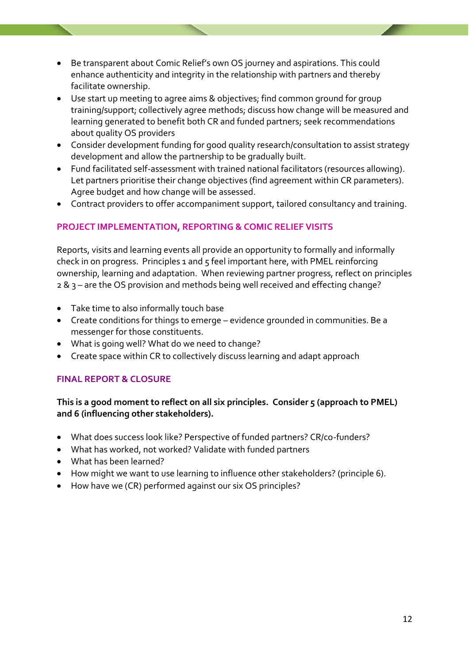- Be transparent about Comic Relief's own OS journey and aspirations. This could enhance authenticity and integrity in the relationship with partners and thereby facilitate ownership.
- Use start up meeting to agree aims & objectives; find common ground for group training/support; collectively agree methods; discuss how change will be measured and learning generated to benefit both CR and funded partners; seek recommendations about quality OS providers
- Consider development funding for good quality research/consultation to assist strategy development and allow the partnership to be gradually built.
- Fund facilitated self-assessment with trained national facilitators (resources allowing). Let partners prioritise their change objectives (find agreement within CR parameters). Agree budget and how change will be assessed.
- Contract providers to offer accompaniment support, tailored consultancy and training.

#### **PROJECT IMPLEMENTATION, REPORTING & COMIC RELIEF VISITS**

Reports, visits and learning events all provide an opportunity to formally and informally check in on progress. Principles 1 and 5 feel important here, with PMEL reinforcing ownership, learning and adaptation. When reviewing partner progress, reflect on principles 2 & 3 – are the OS provision and methods being well received and effecting change?

- Take time to also informally touch base
- Create conditions for things to emerge evidence grounded in communities. Be a messenger for those constituents.
- What is going well? What do we need to change?
- Create space within CR to collectively discuss learning and adapt approach

#### **FINAL REPORT & CLOSURE**

#### **This is a good moment to reflect on all six principles. Consider 5 (approach to PMEL) and 6 (influencing other stakeholders).**

- What does success look like? Perspective of funded partners? CR/co-funders?
- What has worked, not worked? Validate with funded partners
- What has been learned?
- How might we want to use learning to influence other stakeholders? (principle 6).
- How have we (CR) performed against our six OS principles?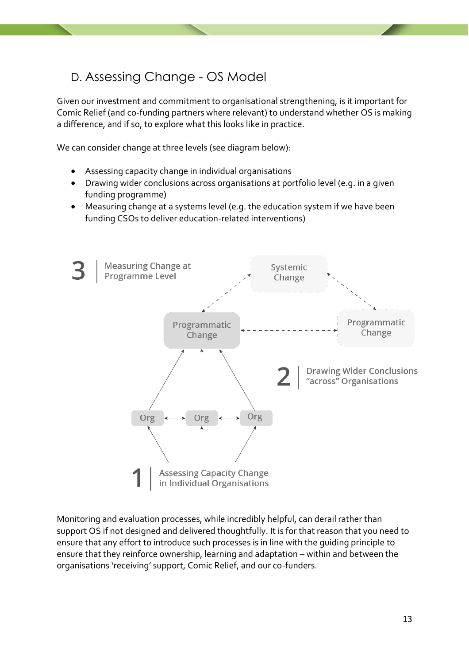## D. Assessing Change - OS Model

Given our investment and commitment to organisational strengthening, is it important for Comic Relief (and co-funding partners where relevant) to understand whether OS is making a difference, and if so, to explore what this looks like in practice.

We can consider change at three levels (see diagram below):

- Assessing capacity change in individual organisations
- Drawing wider conclusions across organisations at portfolio level (e.g. in a given funding programme)
- Measuring change at a systems level (e.g. the education system if we have been funding CSOs to deliver education-related interventions)



Monitoring and evaluation processes, while incredibly helpful, can derail rather than support OS if not designed and delivered thoughtfully. It is for that reason that you need to ensure that any effort to introduce such processes is in line with the guiding principle to ensure that they reinforce ownership, learning and adaptation – within and between the organisations 'receiving' support, Comic Relief, and our co-funders.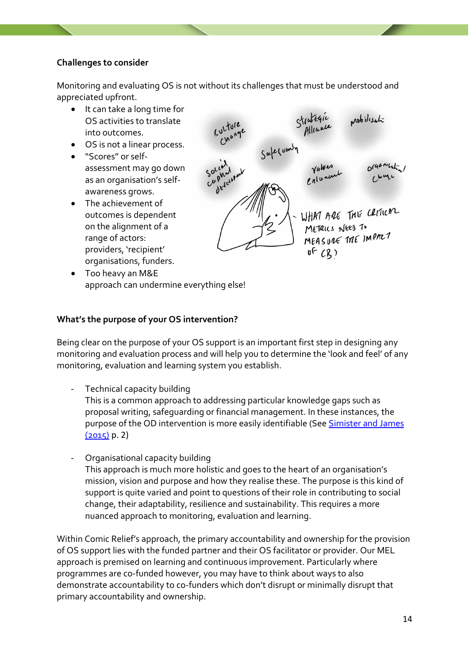#### **Challenges to consider**

Monitoring and evaluating OS is not without its challenges that must be understood and appreciated upfront.

- It can take a long time for OS activities to translate into outcomes.
- OS is not a linear process.
- "Scores" or selfassessment may go down as an organisation's selfawareness grows.
- The achievement of outcomes is dependent on the alignment of a range of actors: providers, 'recipient' organisations, funders.



• Too heavy an M&E approach can undermine everything else!

#### **What's the purpose of your OS intervention?**

Being clear on the purpose of your OS support is an important first step in designing any monitoring and evaluation process and will help you to determine the 'look and feel' of any monitoring, evaluation and learning system you establish.

- Technical capacity building This is a common approach to addressing particular knowledge gaps such as proposal writing, safeguarding or financial management. In these instances, the purpose of the OD intervention is more easily identifiable (See Simister and James  $(2015)$  p. 2)
- Organisational capacity building This approach is much more holistic and goes to the heart of an organisation's mission, vision and purpose and how they realise these. The purpose is this kind of support is quite varied and point to questions of their role in contributing to social change, their adaptability, resilience and sustainability. This requires a more nuanced approach to monitoring, evaluation and learning.

Within Comic Relief's approach, the primary accountability and ownership for the provision of OS support lies with the funded partner and their OS facilitator or provider. Our MEL approach is premised on learning and continuous improvement. Particularly where programmes are co-funded however, you may have to think about ways to also demonstrate accountability to co-funders which don't disrupt or minimally disrupt that primary accountability and ownership.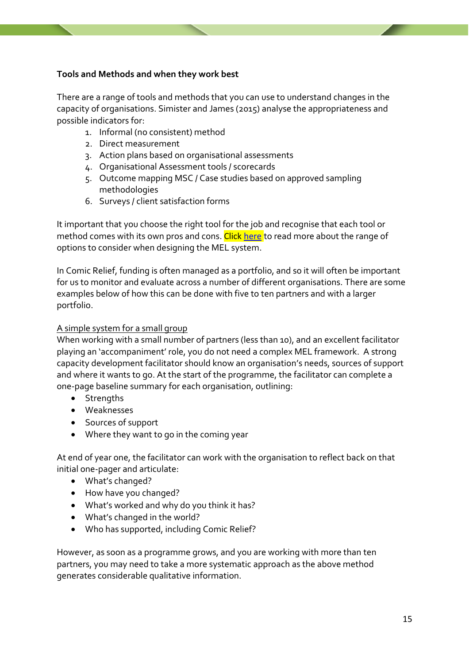#### **Tools and Methods and when they work best**

There are a range of tools and methods that you can use to understand changes in the capacity of organisations. Simister and James (2015) analyse the appropriateness and possible indicators for:

- 1. Informal (no consistent) method
- 2. Direct measurement
- 3. Action plans based on organisational assessments
- 4. Organisational Assessment tools / scorecards
- 5. Outcome mapping MSC / Case studies based on approved sampling methodologies
- 6. Surveys / client satisfaction forms

It important that you choose the right tool for the job and recognise that each tool or method comes with its own pros and cons. Click [here](https://comicrelief.app.box.com/file/676550192726) to read more about the range of options to consider when designing the MEL system.

In Comic Relief, funding is often managed as a portfolio, and so it will often be important for us to monitor and evaluate across a number of different organisations. There are some examples below of how this can be done with five to ten partners and with a larger portfolio.

#### A simple system for a small group

When working with a small number of partners (less than 10), and an excellent facilitator playing an 'accompaniment' role, you do not need a complex MEL framework. A strong capacity development facilitator should know an organisation's needs, sources of support and where it wants to go. At the start of the programme, the facilitator can complete a one-page baseline summary for each organisation, outlining:

- Strengths
- Weaknesses
- Sources of support
- Where they want to go in the coming year

At end of year one, the facilitator can work with the organisation to reflect back on that initial one-pager and articulate:

- What's changed?
- How have you changed?
- What's worked and why do you think it has?
- What's changed in the world?
- Who has supported, including Comic Relief?

However, as soon as a programme grows, and you are working with more than ten partners, you may need to take a more systematic approach as the above method generates considerable qualitative information.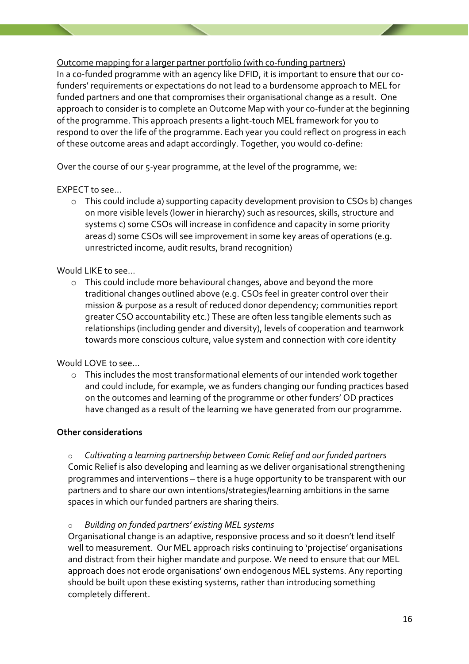Outcome mapping for a larger partner portfolio (with co-funding partners)

In a co-funded programme with an agency like DFID, it is important to ensure that our cofunders' requirements or expectations do not lead to a burdensome approach to MEL for funded partners and one that compromises their organisational change as a result. One approach to consider is to complete an Outcome Map with your co-funder at the beginning of the programme. This approach presents a light-touch MEL framework for you to respond to over the life of the programme. Each year you could reflect on progress in each of these outcome areas and adapt accordingly. Together, you would co-define:

Over the course of our 5-year programme, at the level of the programme, we:

EXPECT to see…

o This could include a) supporting capacity development provision to CSOs b) changes on more visible levels (lower in hierarchy) such as resources, skills, structure and systems c) some CSOs will increase in confidence and capacity in some priority areas d) some CSOs will see improvement in some key areas of operations (e.g. unrestricted income, audit results, brand recognition)

Would LIKE to see…

o This could include more behavioural changes, above and beyond the more traditional changes outlined above (e.g. CSOs feel in greater control over their mission & purpose as a result of reduced donor dependency; communities report greater CSO accountability etc.) These are often less tangible elements such as relationships (including gender and diversity), levels of cooperation and teamwork towards more conscious culture, value system and connection with core identity

Would LOVE to see…

o This includes the most transformational elements of our intended work together and could include, for example, we as funders changing our funding practices based on the outcomes and learning of the programme or other funders' OD practices have changed as a result of the learning we have generated from our programme.

#### **Other considerations**

Cultivating a learning partnership between Comic Relief and our funded partners Comic Relief is also developing and learning as we deliver organisational strengthening programmes and interventions – there is a huge opportunity to be transparent with our partners and to share our own intentions/strategies/learning ambitions in the same spaces in which our funded partners are sharing theirs.

o *Building on funded partners' existing MEL systems*

Organisational change is an adaptive, responsive process and so it doesn't lend itself well to measurement. Our MEL approach risks continuing to 'projectise' organisations and distract from their higher mandate and purpose. We need to ensure that our MEL approach does not erode organisations' own endogenous MEL systems. Any reporting should be built upon these existing systems, rather than introducing something completely different.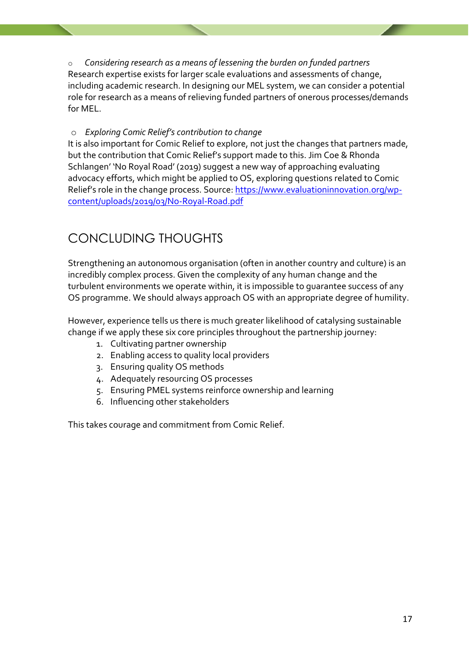o *Considering research as a means of lessening the burden on funded partners* Research expertise exists for larger scale evaluations and assessments of change, including academic research. In designing our MEL system, we can consider a potential role for research as a means of relieving funded partners of onerous processes/demands for MEL.

#### o *Exploring Comic Relief's contribution to change*

It is also important for Comic Relief to explore, not just the changes that partners made, but the contribution that Comic Relief's support made to this. Jim Coe & Rhonda Schlangen' 'No Royal Road' (2019) suggest a new way of approaching evaluating advocacy efforts, which might be applied to OS, exploring questions related to Comic Relief's role in the change process. Source[: https://www.evaluationinnovation.org/wp](https://www.evaluationinnovation.org/wp-content/uploads/2019/03/No-Royal-Road.pdf)[content/uploads/2019/03/No-Royal-Road.pdf](https://www.evaluationinnovation.org/wp-content/uploads/2019/03/No-Royal-Road.pdf)

# CONCLUDING THOUGHTS

Strengthening an autonomous organisation (often in another country and culture) is an incredibly complex process. Given the complexity of any human change and the turbulent environments we operate within, it is impossible to guarantee success of any OS programme. We should always approach OS with an appropriate degree of humility.

However, experience tells us there is much greater likelihood of catalysing sustainable change if we apply these six core principles throughout the partnership journey:

- 1. Cultivating partner ownership
- 2. Enabling access to quality local providers
- 3. Ensuring quality OS methods
- 4. Adequately resourcing OS processes
- 5. Ensuring PMEL systems reinforce ownership and learning
- 6. Influencing other stakeholders

This takes courage and commitment from Comic Relief.